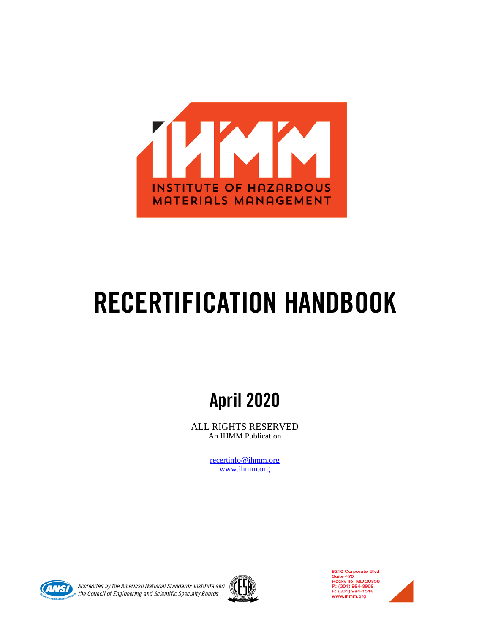

# RECERTIFICATION HANDBOOK

## April 2020

ALL RIGHTS RESERVED An IHMM Publication

> [recertinfo@ihmm.org](mailto:recertinfo@ihmm.org) [www.ihmm.org](http://www.ihmm.org/)



Accredited by the American National Standards Institute and the Council of Engineering and Scientific Specialty Boards



9210 Corporate Blvd<br>Suite 470<br>Rockville, MD 20850<br>P: (301) 984-8969<br>F: (301) 984-1516 www.ihmm.org

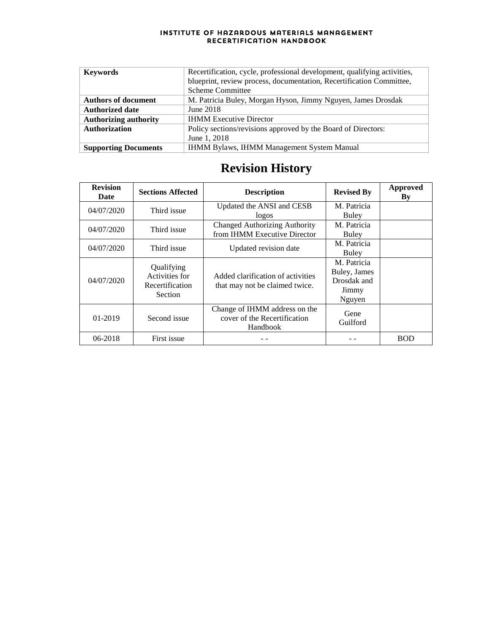| <b>Keywords</b>              | Recertification, cycle, professional development, qualifying activities, |
|------------------------------|--------------------------------------------------------------------------|
|                              | blueprint, review process, documentation, Recertification Committee,     |
|                              | <b>Scheme Committee</b>                                                  |
| <b>Authors of document</b>   | M. Patricia Buley, Morgan Hyson, Jimmy Nguyen, James Drosdak             |
| <b>Authorized date</b>       | June 2018                                                                |
| <b>Authorizing authority</b> | <b>IHMM Executive Director</b>                                           |
| <b>Authorization</b>         | Policy sections/revisions approved by the Board of Directors:            |
|                              | June 1, 2018                                                             |
| <b>Supporting Documents</b>  | <b>IHMM Bylaws, IHMM Management System Manual</b>                        |

## **Revision History**

| <b>Revision</b><br>Date | <b>Sections Affected</b>                                          | <b>Description</b>                                                        | <b>Revised By</b>                                             | Approved<br>Bv |
|-------------------------|-------------------------------------------------------------------|---------------------------------------------------------------------------|---------------------------------------------------------------|----------------|
| 04/07/2020              | Third issue                                                       | Updated the ANSI and CESB<br>logos                                        | M. Patricia<br>Buley                                          |                |
| 04/07/2020              | Third issue                                                       | Changed Authorizing Authority<br>from IHMM Executive Director             | M. Patricia<br>Buley                                          |                |
| 04/07/2020              | Third issue                                                       | Updated revision date                                                     | M. Patricia<br>Buley                                          |                |
| 04/07/2020              | Qualifying<br>Activities for<br>Recertification<br><b>Section</b> | Added clarification of activities<br>that may not be claimed twice.       | M. Patricia<br>Buley, James<br>Drosdak and<br>Jimmy<br>Nguyen |                |
| 01-2019                 | Second issue                                                      | Change of IHMM address on the<br>cover of the Recertification<br>Handbook | Gene<br>Guilford                                              |                |
| $06 - 2018$             | First issue                                                       |                                                                           |                                                               | <b>BOD</b>     |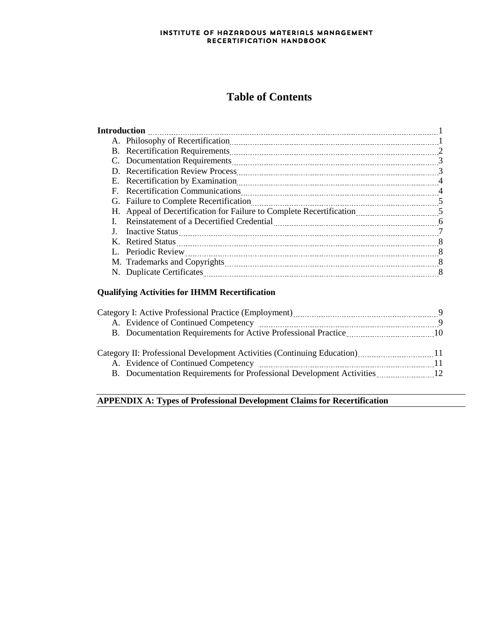### **Table of Contents**

|                                                                                                                                                                                                                                | 2 |
|--------------------------------------------------------------------------------------------------------------------------------------------------------------------------------------------------------------------------------|---|
|                                                                                                                                                                                                                                | 3 |
|                                                                                                                                                                                                                                |   |
|                                                                                                                                                                                                                                |   |
| F. Recertification Communications [11] The Recertification Communications [11] The Recertification Communications [11] The Recent Recent Recent Recent Recent Recent Recent Recent Recent Recent Recent Recent Recent Recent R | 4 |
| G. Failure to Complete Recertification                                                                                                                                                                                         |   |
|                                                                                                                                                                                                                                |   |
|                                                                                                                                                                                                                                |   |
|                                                                                                                                                                                                                                |   |
|                                                                                                                                                                                                                                |   |
|                                                                                                                                                                                                                                |   |
|                                                                                                                                                                                                                                |   |
|                                                                                                                                                                                                                                |   |
|                                                                                                                                                                                                                                |   |

#### **Qualifying Activities for IHMM Recertification**

| Category I: Active Professional Practice (Employment) [2012] [2013] [2013] [2014] [2014] [2014] [2014] [2014] [3014] [3014] [3014] [3014] [3014] [3014] [3014] [3014] [3014] [3014] [3014] [3014] [3014] [3014] [3014] [3014] |  |
|-------------------------------------------------------------------------------------------------------------------------------------------------------------------------------------------------------------------------------|--|
| A. Evidence of Continued Competency manufactured manufactured 9                                                                                                                                                               |  |
|                                                                                                                                                                                                                               |  |
|                                                                                                                                                                                                                               |  |
| Category II: Professional Development Activities (Continuing Education) [11]                                                                                                                                                  |  |
| A. Evidence of Continued Competency manufactured manufactured and 11                                                                                                                                                          |  |
|                                                                                                                                                                                                                               |  |
|                                                                                                                                                                                                                               |  |

#### **APPENDIX A: Types of Professional Development Claims for Recertification**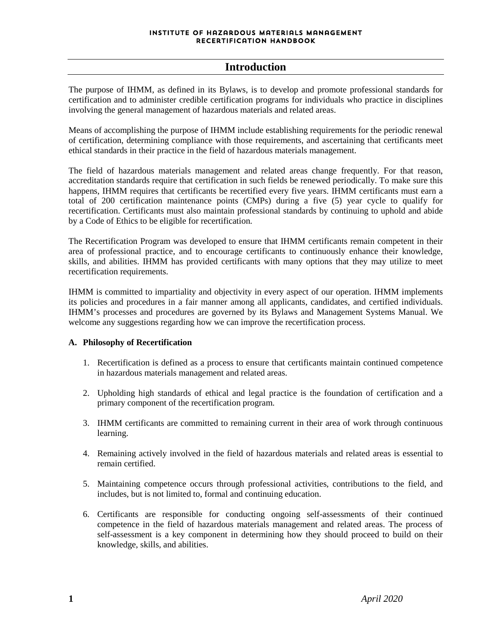#### **Introduction**

The purpose of IHMM, as defined in its Bylaws, is to develop and promote professional standards for certification and to administer credible certification programs for individuals who practice in disciplines involving the general management of hazardous materials and related areas.

Means of accomplishing the purpose of IHMM include establishing requirements for the periodic renewal of certification, determining compliance with those requirements, and ascertaining that certificants meet ethical standards in their practice in the field of hazardous materials management.

The field of hazardous materials management and related areas change frequently. For that reason, accreditation standards require that certification in such fields be renewed periodically. To make sure this happens, IHMM requires that certificants be recertified every five years. IHMM certificants must earn a total of 200 certification maintenance points (CMPs) during a five (5) year cycle to qualify for recertification. Certificants must also maintain professional standards by continuing to uphold and abide by a Code of Ethics to be eligible for recertification.

The Recertification Program was developed to ensure that IHMM certificants remain competent in their area of professional practice, and to encourage certificants to continuously enhance their knowledge, skills, and abilities. IHMM has provided certificants with many options that they may utilize to meet recertification requirements.

IHMM is committed to impartiality and objectivity in every aspect of our operation. IHMM implements its policies and procedures in a fair manner among all applicants, candidates, and certified individuals. IHMM's processes and procedures are governed by its Bylaws and Management Systems Manual. We welcome any suggestions regarding how we can improve the recertification process.

#### **A. Philosophy of Recertification**

- 1. Recertification is defined as a process to ensure that certificants maintain continued competence in hazardous materials management and related areas.
- 2. Upholding high standards of ethical and legal practice is the foundation of certification and a primary component of the recertification program.
- 3. IHMM certificants are committed to remaining current in their area of work through continuous learning.
- 4. Remaining actively involved in the field of hazardous materials and related areas is essential to remain certified.
- 5. Maintaining competence occurs through professional activities, contributions to the field, and includes, but is not limited to, formal and continuing education.
- 6. Certificants are responsible for conducting ongoing self-assessments of their continued competence in the field of hazardous materials management and related areas. The process of self-assessment is a key component in determining how they should proceed to build on their knowledge, skills, and abilities.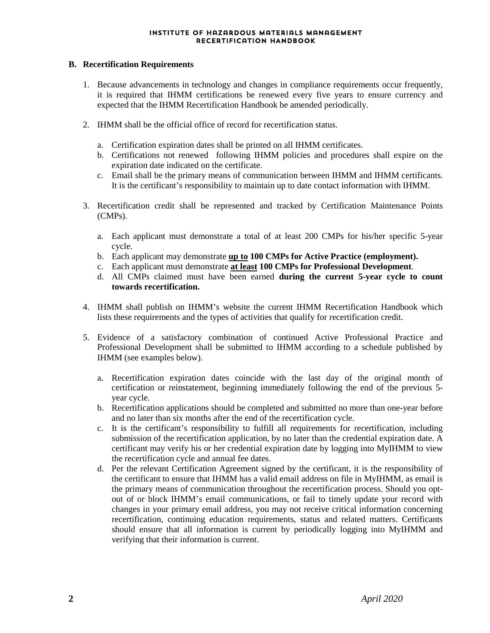#### **B. Recertification Requirements**

- 1. Because advancements in technology and changes in compliance requirements occur frequently, it is required that IHMM certifications be renewed every five years to ensure currency and expected that the IHMM Recertification Handbook be amended periodically.
- 2. IHMM shall be the official office of record for recertification status.
	- a. Certification expiration dates shall be printed on all IHMM certificates.
	- b. Certifications not renewed following IHMM policies and procedures shall expire on the expiration date indicated on the certificate.
	- c. Email shall be the primary means of communication between IHMM and IHMM certificants. It is the certificant's responsibility to maintain up to date contact information with IHMM.
- 3. Recertification credit shall be represented and tracked by Certification Maintenance Points (CMPs).
	- a. Each applicant must demonstrate a total of at least 200 CMPs for his/her specific 5-year cycle.
	- b. Each applicant may demonstrate **up to 100 CMPs for Active Practice (employment).**
	- c. Each applicant must demonstrate **at least 100 CMPs for Professional Development**.
	- d. All CMPs claimed must have been earned **during the current 5-year cycle to count towards recertification.**
- 4. IHMM shall publish on IHMM's website the current IHMM Recertification Handbook which lists these requirements and the types of activities that qualify for recertification credit.
- 5. Evidence of a satisfactory combination of continued Active Professional Practice and Professional Development shall be submitted to IHMM according to a schedule published by IHMM (see examples below).
	- a. Recertification expiration dates coincide with the last day of the original month of certification or reinstatement, beginning immediately following the end of the previous 5 year cycle.
	- b. Recertification applications should be completed and submitted no more than one-year before and no later than six months after the end of the recertification cycle.
	- c. It is the certificant's responsibility to fulfill all requirements for recertification, including submission of the recertification application, by no later than the credential expiration date. A certificant may verify his or her credential expiration date by logging into MyIHMM to view the recertification cycle and annual fee dates.
	- d. Per the relevant Certification Agreement signed by the certificant, it is the responsibility of the certificant to ensure that IHMM has a valid email address on file in MyIHMM, as email is the primary means of communication throughout the recertification process. Should you optout of or block IHMM's email communications, or fail to timely update your record with changes in your primary email address, you may not receive critical information concerning recertification, continuing education requirements, status and related matters. Certificants should ensure that all information is current by periodically logging into MyIHMM and verifying that their information is current.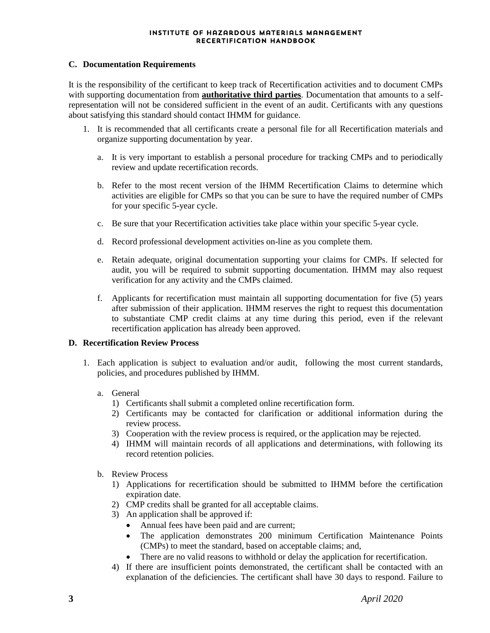#### **C. Documentation Requirements**

It is the responsibility of the certificant to keep track of Recertification activities and to document CMPs with supporting documentation from **authoritative third parties**. Documentation that amounts to a selfrepresentation will not be considered sufficient in the event of an audit. Certificants with any questions about satisfying this standard should contact IHMM for guidance.

- 1. It is recommended that all certificants create a personal file for all Recertification materials and organize supporting documentation by year.
	- a. It is very important to establish a personal procedure for tracking CMPs and to periodically review and update recertification records.
	- b. Refer to the most recent version of the IHMM Recertification Claims to determine which activities are eligible for CMPs so that you can be sure to have the required number of CMPs for your specific 5-year cycle.
	- c. Be sure that your Recertification activities take place within your specific 5-year cycle.
	- d. Record professional development activities on-line as you complete them.
	- e. Retain adequate, original documentation supporting your claims for CMPs. If selected for audit, you will be required to submit supporting documentation. IHMM may also request verification for any activity and the CMPs claimed.
	- f. Applicants for recertification must maintain all supporting documentation for five (5) years after submission of their application. IHMM reserves the right to request this documentation to substantiate CMP credit claims at any time during this period, even if the relevant recertification application has already been approved.

#### **D. Recertification Review Process**

- 1. Each application is subject to evaluation and/or audit, following the most current standards, policies, and procedures published by IHMM.
	- a. General
		- 1) Certificants shall submit a completed online recertification form.
		- 2) Certificants may be contacted for clarification or additional information during the review process.
		- 3) Cooperation with the review process is required, or the application may be rejected.
		- 4) IHMM will maintain records of all applications and determinations, with following its record retention policies.
	- b. Review Process
		- 1) Applications for recertification should be submitted to IHMM before the certification expiration date.
		- 2) CMP credits shall be granted for all acceptable claims.
		- 3) An application shall be approved if:
			- Annual fees have been paid and are current;
			- The application demonstrates 200 minimum Certification Maintenance Points (CMPs) to meet the standard, based on acceptable claims; and,
			- There are no valid reasons to withhold or delay the application for recertification.
		- 4) If there are insufficient points demonstrated, the certificant shall be contacted with an explanation of the deficiencies. The certificant shall have 30 days to respond. Failure to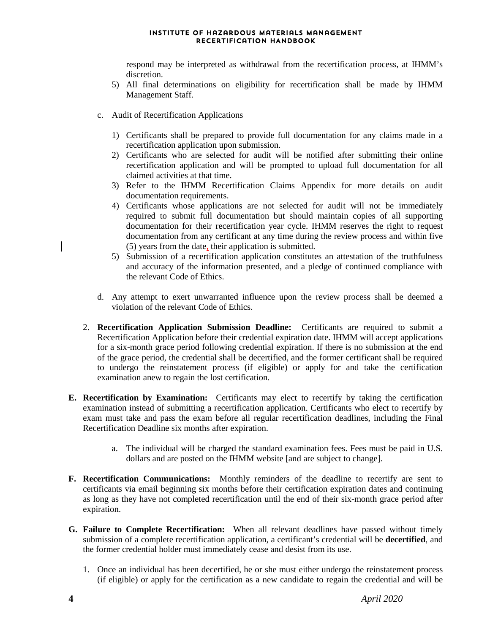respond may be interpreted as withdrawal from the recertification process, at IHMM's discretion.

- 5) All final determinations on eligibility for recertification shall be made by IHMM Management Staff.
- c. Audit of Recertification Applications
	- 1) Certificants shall be prepared to provide full documentation for any claims made in a recertification application upon submission.
	- 2) Certificants who are selected for audit will be notified after submitting their online recertification application and will be prompted to upload full documentation for all claimed activities at that time.
	- 3) Refer to the IHMM Recertification Claims Appendix for more details on audit documentation requirements.
	- 4) Certificants whose applications are not selected for audit will not be immediately required to submit full documentation but should maintain copies of all supporting documentation for their recertification year cycle. IHMM reserves the right to request documentation from any certificant at any time during the review process and within five (5) years from the date, their application is submitted.
	- 5) Submission of a recertification application constitutes an attestation of the truthfulness and accuracy of the information presented, and a pledge of continued compliance with the relevant Code of Ethics.
- d. Any attempt to exert unwarranted influence upon the review process shall be deemed a violation of the relevant Code of Ethics.
- 2. **Recertification Application Submission Deadline:** Certificants are required to submit a Recertification Application before their credential expiration date. IHMM will accept applications for a six-month grace period following credential expiration. If there is no submission at the end of the grace period, the credential shall be decertified, and the former certificant shall be required to undergo the reinstatement process (if eligible) or apply for and take the certification examination anew to regain the lost certification.
- **E. Recertification by Examination:** Certificants may elect to recertify by taking the certification examination instead of submitting a recertification application. Certificants who elect to recertify by exam must take and pass the exam before all regular recertification deadlines, including the Final Recertification Deadline six months after expiration.
	- a. The individual will be charged the standard examination fees. Fees must be paid in U.S. dollars and are posted on the IHMM website [and are subject to change].
- **F. Recertification Communications:** Monthly reminders of the deadline to recertify are sent to certificants via email beginning six months before their certification expiration dates and continuing as long as they have not completed recertification until the end of their six-month grace period after expiration.
- **G. Failure to Complete Recertification:** When all relevant deadlines have passed without timely submission of a complete recertification application, a certificant's credential will be **decertified**, and the former credential holder must immediately cease and desist from its use.
	- 1. Once an individual has been decertified, he or she must either undergo the reinstatement process (if eligible) or apply for the certification as a new candidate to regain the credential and will be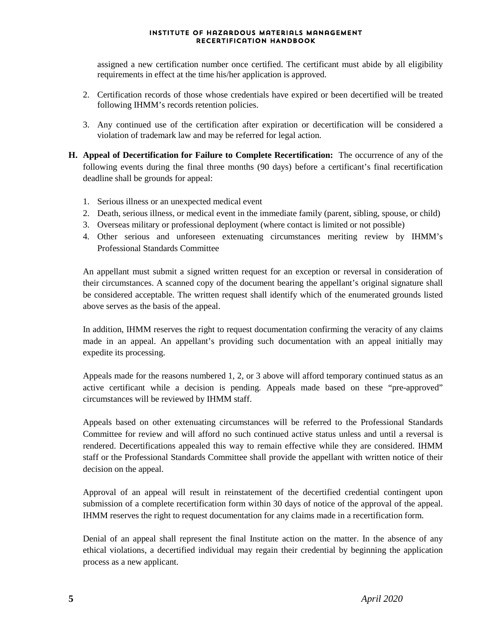assigned a new certification number once certified. The certificant must abide by all eligibility requirements in effect at the time his/her application is approved.

- 2. Certification records of those whose credentials have expired or been decertified will be treated following IHMM's records retention policies.
- 3. Any continued use of the certification after expiration or decertification will be considered a violation of trademark law and may be referred for legal action.
- **H. Appeal of Decertification for Failure to Complete Recertification:** The occurrence of any of the following events during the final three months (90 days) before a certificant's final recertification deadline shall be grounds for appeal:
	- 1. Serious illness or an unexpected medical event
	- 2. Death, serious illness, or medical event in the immediate family (parent, sibling, spouse, or child)
	- 3. Overseas military or professional deployment (where contact is limited or not possible)
	- 4. Other serious and unforeseen extenuating circumstances meriting review by IHMM's Professional Standards Committee

An appellant must submit a signed written request for an exception or reversal in consideration of their circumstances. A scanned copy of the document bearing the appellant's original signature shall be considered acceptable. The written request shall identify which of the enumerated grounds listed above serves as the basis of the appeal.

In addition, IHMM reserves the right to request documentation confirming the veracity of any claims made in an appeal. An appellant's providing such documentation with an appeal initially may expedite its processing.

Appeals made for the reasons numbered 1, 2, or 3 above will afford temporary continued status as an active certificant while a decision is pending. Appeals made based on these "pre-approved" circumstances will be reviewed by IHMM staff.

Appeals based on other extenuating circumstances will be referred to the Professional Standards Committee for review and will afford no such continued active status unless and until a reversal is rendered. Decertifications appealed this way to remain effective while they are considered. IHMM staff or the Professional Standards Committee shall provide the appellant with written notice of their decision on the appeal.

Approval of an appeal will result in reinstatement of the decertified credential contingent upon submission of a complete recertification form within 30 days of notice of the approval of the appeal. IHMM reserves the right to request documentation for any claims made in a recertification form.

Denial of an appeal shall represent the final Institute action on the matter. In the absence of any ethical violations, a decertified individual may regain their credential by beginning the application process as a new applicant.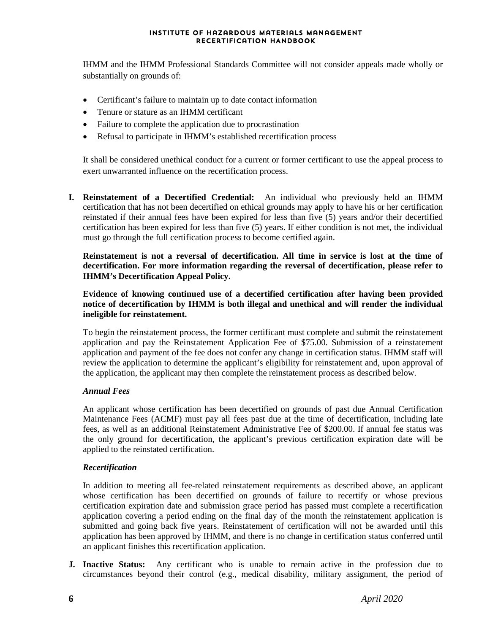IHMM and the IHMM Professional Standards Committee will not consider appeals made wholly or substantially on grounds of:

- Certificant's failure to maintain up to date contact information
- Tenure or stature as an IHMM certificant
- Failure to complete the application due to procrastination
- Refusal to participate in IHMM's established recertification process

It shall be considered unethical conduct for a current or former certificant to use the appeal process to exert unwarranted influence on the recertification process.

**I. Reinstatement of a Decertified Credential:** An individual who previously held an IHMM certification that has not been decertified on ethical grounds may apply to have his or her certification reinstated if their annual fees have been expired for less than five (5) years and/or their decertified certification has been expired for less than five (5) years. If either condition is not met, the individual must go through the full certification process to become certified again.

**Reinstatement is not a reversal of decertification. All time in service is lost at the time of decertification. For more information regarding the reversal of decertification, please refer to IHMM's Decertification Appeal Policy.** 

**Evidence of knowing continued use of a decertified certification after having been provided notice of decertification by IHMM is both illegal and unethical and will render the individual ineligible for reinstatement.**

To begin the reinstatement process, the former certificant must complete and submit the reinstatement application and pay the Reinstatement Application Fee of \$75.00. Submission of a reinstatement application and payment of the fee does not confer any change in certification status. IHMM staff will review the application to determine the applicant's eligibility for reinstatement and, upon approval of the application, the applicant may then complete the reinstatement process as described below.

#### *Annual Fees*

An applicant whose certification has been decertified on grounds of past due Annual Certification Maintenance Fees (ACMF) must pay all fees past due at the time of decertification, including late fees, as well as an additional Reinstatement Administrative Fee of \$200.00. If annual fee status was the only ground for decertification, the applicant's previous certification expiration date will be applied to the reinstated certification.

#### *Recertification*

In addition to meeting all fee-related reinstatement requirements as described above, an applicant whose certification has been decertified on grounds of failure to recertify or whose previous certification expiration date and submission grace period has passed must complete a recertification application covering a period ending on the final day of the month the reinstatement application is submitted and going back five years. Reinstatement of certification will not be awarded until this application has been approved by IHMM, and there is no change in certification status conferred until an applicant finishes this recertification application.

**J. Inactive Status:** Any certificant who is unable to remain active in the profession due to circumstances beyond their control (e.g., medical disability, military assignment, the period of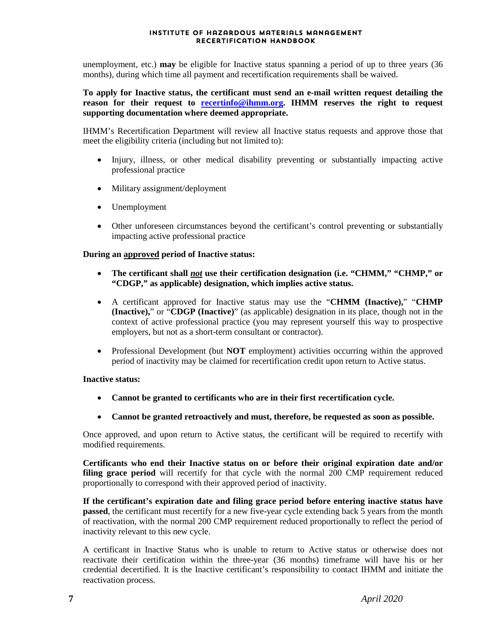unemployment, etc.) **may** be eligible for Inactive status spanning a period of up to three years (36 months), during which time all payment and recertification requirements shall be waived.

**To apply for Inactive status, the certificant must send an e-mail written request detailing the reason for their request to [recertinfo@ihmm.org.](mailto:recertinfo@ihmm.org) IHMM reserves the right to request supporting documentation where deemed appropriate.**

IHMM's Recertification Department will review all Inactive status requests and approve those that meet the eligibility criteria (including but not limited to):

- Injury, illness, or other medical disability preventing or substantially impacting active professional practice
- Military assignment/deployment
- Unemployment
- Other unforeseen circumstances beyond the certificant's control preventing or substantially impacting active professional practice

#### **During an approved period of Inactive status:**

- **The certificant shall** *not* **use their certification designation (i.e. "CHMM," "CHMP," or "CDGP," as applicable) designation, which implies active status.**
- A certificant approved for Inactive status may use the "**CHMM (Inactive),**" "**CHMP (Inactive),**" or "**CDGP (Inactive)**" (as applicable) designation in its place, though not in the context of active professional practice (you may represent yourself this way to prospective employers, but not as a short-term consultant or contractor).
- Professional Development (but **NOT** employment) activities occurring within the approved period of inactivity may be claimed for recertification credit upon return to Active status.

#### **Inactive status:**

- **Cannot be granted to certificants who are in their first recertification cycle.**
- **Cannot be granted retroactively and must, therefore, be requested as soon as possible.**

Once approved, and upon return to Active status, the certificant will be required to recertify with modified requirements.

**Certificants who end their Inactive status on or before their original expiration date and/or filing grace period** will recertify for that cycle with the normal 200 CMP requirement reduced proportionally to correspond with their approved period of inactivity.

**If the certificant's expiration date and filing grace period before entering inactive status have passed**, the certificant must recertify for a new five-year cycle extending back 5 years from the month of reactivation, with the normal 200 CMP requirement reduced proportionally to reflect the period of inactivity relevant to this new cycle.

A certificant in Inactive Status who is unable to return to Active status or otherwise does not reactivate their certification within the three-year (36 months) timeframe will have his or her credential decertified. It is the Inactive certificant's responsibility to contact IHMM and initiate the reactivation process.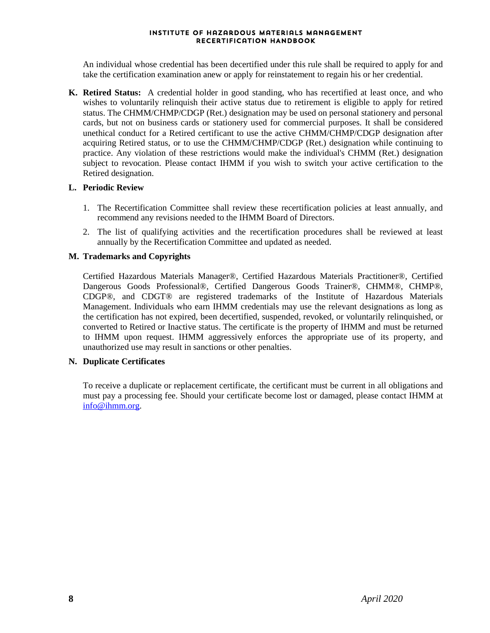An individual whose credential has been decertified under this rule shall be required to apply for and take the certification examination anew or apply for reinstatement to regain his or her credential.

**K. Retired Status:** A credential holder in good standing, who has recertified at least once, and who wishes to voluntarily relinquish their active status due to retirement is eligible to apply for retired status. The CHMM/CHMP/CDGP (Ret.) designation may be used on personal stationery and personal cards, but not on business cards or stationery used for commercial purposes. It shall be considered unethical conduct for a Retired certificant to use the active CHMM/CHMP/CDGP designation after acquiring Retired status, or to use the CHMM/CHMP/CDGP (Ret.) designation while continuing to practice. Any violation of these restrictions would make the individual's CHMM (Ret.) designation subject to revocation. Please contact IHMM if you wish to switch your active certification to the Retired designation.

#### **L. Periodic Review**

- 1. The Recertification Committee shall review these recertification policies at least annually, and recommend any revisions needed to the IHMM Board of Directors.
- 2. The list of qualifying activities and the recertification procedures shall be reviewed at least annually by the Recertification Committee and updated as needed.

#### **M. Trademarks and Copyrights**

Certified Hazardous Materials Manager®, Certified Hazardous Materials Practitioner®, Certified Dangerous Goods Professional®, Certified Dangerous Goods Trainer®, CHMM®, CHMP®, CDGP®, and CDGT® are registered trademarks of the Institute of Hazardous Materials Management. Individuals who earn IHMM credentials may use the relevant designations as long as the certification has not expired, been decertified, suspended, revoked, or voluntarily relinquished, or converted to Retired or Inactive status. The certificate is the property of IHMM and must be returned to IHMM upon request. IHMM aggressively enforces the appropriate use of its property, and unauthorized use may result in sanctions or other penalties.

#### **N. Duplicate Certificates**

To receive a duplicate or replacement certificate, the certificant must be current in all obligations and must pay a processing fee. Should your certificate become lost or damaged, please contact IHMM at [info@ihmm.org.](mailto:info@ihmm.org)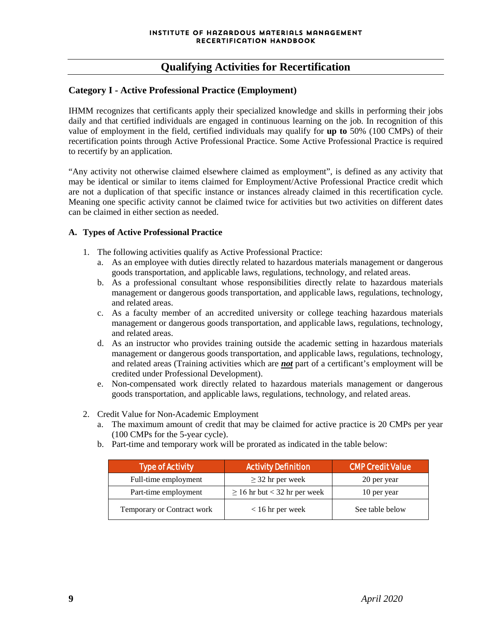#### **Qualifying Activities for Recertification**

#### **Category I - Active Professional Practice (Employment)**

IHMM recognizes that certificants apply their specialized knowledge and skills in performing their jobs daily and that certified individuals are engaged in continuous learning on the job. In recognition of this value of employment in the field, certified individuals may qualify for **up to** 50% (100 CMPs) of their recertification points through Active Professional Practice. Some Active Professional Practice is required to recertify by an application.

"Any activity not otherwise claimed elsewhere claimed as employment", is defined as any activity that may be identical or similar to items claimed for Employment/Active Professional Practice credit which are not a duplication of that specific instance or instances already claimed in this recertification cycle. Meaning one specific activity cannot be claimed twice for activities but two activities on different dates can be claimed in either section as needed.

#### **A. Types of Active Professional Practice**

- 1. The following activities qualify as Active Professional Practice:
	- a. As an employee with duties directly related to hazardous materials management or dangerous goods transportation, and applicable laws, regulations, technology, and related areas.
	- b. As a professional consultant whose responsibilities directly relate to hazardous materials management or dangerous goods transportation, and applicable laws, regulations, technology, and related areas.
	- c. As a faculty member of an accredited university or college teaching hazardous materials management or dangerous goods transportation, and applicable laws, regulations, technology, and related areas.
	- d. As an instructor who provides training outside the academic setting in hazardous materials management or dangerous goods transportation, and applicable laws, regulations, technology, and related areas (Training activities which are *not* part of a certificant's employment will be credited under Professional Development).
	- e. Non-compensated work directly related to hazardous materials management or dangerous goods transportation, and applicable laws, regulations, technology, and related areas.
- 2. Credit Value for Non-Academic Employment
	- a. The maximum amount of credit that may be claimed for active practice is 20 CMPs per year (100 CMPs for the 5-year cycle).
	- b. Part-time and temporary work will be prorated as indicated in the table below:

| <b>Type of Activity</b>    | <b>Activity Definition</b>        | <b>CMP Credit Value</b> |
|----------------------------|-----------------------------------|-------------------------|
| Full-time employment       | $\geq$ 32 hr per week             | 20 per year             |
| Part-time employment       | $\geq 16$ hr but < 32 hr per week | 10 per year             |
| Temporary or Contract work | $< 16$ hr per week                | See table below         |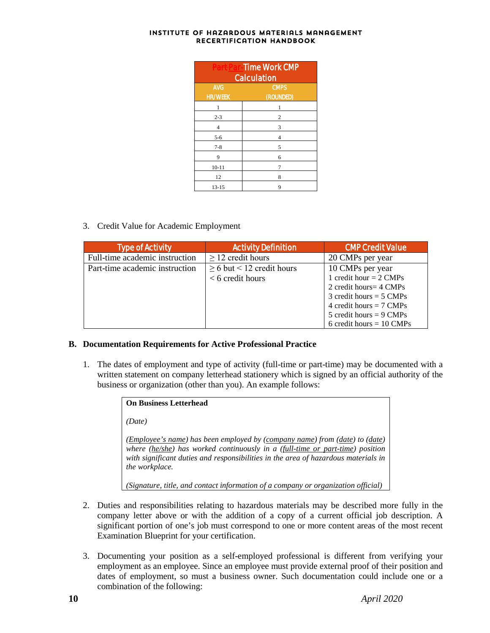| <b>Part Par-Time Work CMP</b><br><b>Calculation</b> |             |  |
|-----------------------------------------------------|-------------|--|
| <b>AVG</b>                                          | <b>CMPS</b> |  |
| <b>HR/WEEK</b>                                      | (ROUNDED)   |  |
| 1                                                   | 1           |  |
| $2 - 3$                                             | 2           |  |
| $\overline{4}$                                      | 3           |  |
| $5 - 6$                                             | 4           |  |
| $7 - 8$                                             | 5           |  |
| 9                                                   | 6           |  |
| $10 - 11$                                           | 7           |  |
| 12                                                  | 8           |  |
| $13 - 15$                                           | 9           |  |

3. Credit Value for Academic Employment

| <b>Type of Activity</b>        | <b>Activity Definition</b>     | <b>CMP Credit Value</b>            |
|--------------------------------|--------------------------------|------------------------------------|
| Full-time academic instruction | $\geq$ 12 credit hours         | 20 CMPs per year                   |
| Part-time academic instruction | $\geq$ 6 but < 12 credit hours | 10 CMPs per year                   |
|                                | $\leq 6$ credit hours          | 1 credit hour $= 2$ CMPs           |
|                                |                                | 2 credit hours = $4 \text{ CMPs}$  |
|                                |                                | 3 credit hours = $5 \text{ CMPs}$  |
|                                |                                | 4 credit hours $= 7$ CMPs          |
|                                |                                | 5 credit hours = $9 \text{ CMPs}$  |
|                                |                                | 6 credit hours = $10 \text{ CMPs}$ |

#### **B. Documentation Requirements for Active Professional Practice**

1. The dates of employment and type of activity (full-time or part-time) may be documented with a written statement on company letterhead stationery which is signed by an official authority of the business or organization (other than you). An example follows:

| <b>On Business Letterhead</b>                                                                                                                                                                                                                                        |  |
|----------------------------------------------------------------------------------------------------------------------------------------------------------------------------------------------------------------------------------------------------------------------|--|
| (Date)                                                                                                                                                                                                                                                               |  |
| (Employee's name) has been employed by (company name) from (date) to (date)<br>where (he/she) has worked continuously in a (full-time or part-time) position<br>with significant duties and responsibilities in the area of hazardous materials in<br>the workplace. |  |
| (Signature, title, and contact information of a company or organization official)                                                                                                                                                                                    |  |

- 2. Duties and responsibilities relating to hazardous materials may be described more fully in the company letter above or with the addition of a copy of a current official job description. A significant portion of one's job must correspond to one or more content areas of the most recent Examination Blueprint for your certification.
- 3. Documenting your position as a self-employed professional is different from verifying your employment as an employee. Since an employee must provide external proof of their position and dates of employment, so must a business owner. Such documentation could include one or a combination of the following: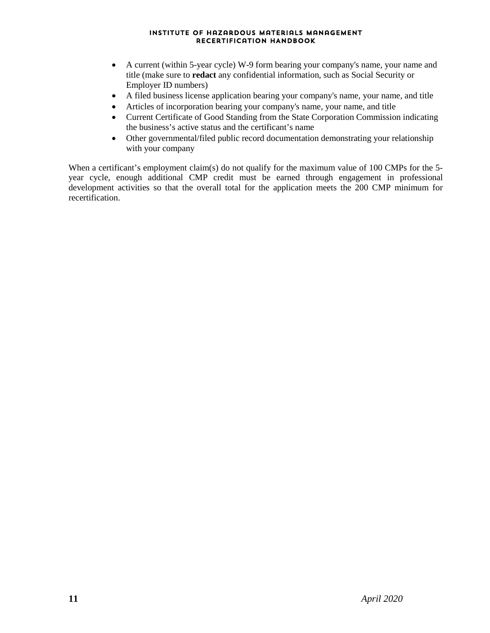- A current (within 5-year cycle) W-9 form bearing your company's name, your name and title (make sure to **redact** any confidential information, such as Social Security or Employer ID numbers)
- A filed business license application bearing your company's name, your name, and title
- Articles of incorporation bearing your company's name, your name, and title
- Current Certificate of Good Standing from the State Corporation Commission indicating the business's active status and the certificant's name
- Other governmental/filed public record documentation demonstrating your relationship with your company

When a certificant's employment claim(s) do not qualify for the maximum value of 100 CMPs for the 5year cycle, enough additional CMP credit must be earned through engagement in professional development activities so that the overall total for the application meets the 200 CMP minimum for recertification.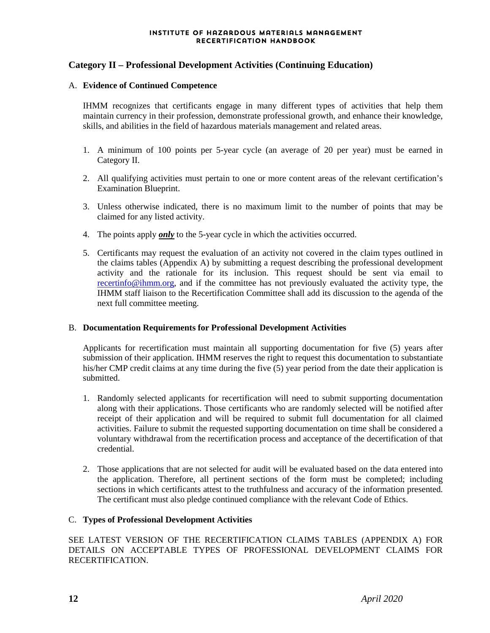#### **Category II – Professional Development Activities (Continuing Education)**

#### A. **Evidence of Continued Competence**

IHMM recognizes that certificants engage in many different types of activities that help them maintain currency in their profession, demonstrate professional growth, and enhance their knowledge, skills, and abilities in the field of hazardous materials management and related areas.

- 1. A minimum of 100 points per 5-year cycle (an average of 20 per year) must be earned in Category II.
- 2. All qualifying activities must pertain to one or more content areas of the relevant certification's Examination Blueprint.
- 3. Unless otherwise indicated, there is no maximum limit to the number of points that may be claimed for any listed activity.
- 4. The points apply *only* to the 5-year cycle in which the activities occurred.
- 5. Certificants may request the evaluation of an activity not covered in the claim types outlined in the claims tables (Appendix A) by submitting a request describing the professional development activity and the rationale for its inclusion. This request should be sent via email to [recertinfo@ihmm.org,](mailto:recertinfo@ihmm.org) and if the committee has not previously evaluated the activity type, the IHMM staff liaison to the Recertification Committee shall add its discussion to the agenda of the next full committee meeting.

#### B. **Documentation Requirements for Professional Development Activities**

Applicants for recertification must maintain all supporting documentation for five (5) years after submission of their application. IHMM reserves the right to request this documentation to substantiate his/her CMP credit claims at any time during the five (5) year period from the date their application is submitted.

- 1. Randomly selected applicants for recertification will need to submit supporting documentation along with their applications. Those certificants who are randomly selected will be notified after receipt of their application and will be required to submit full documentation for all claimed activities. Failure to submit the requested supporting documentation on time shall be considered a voluntary withdrawal from the recertification process and acceptance of the decertification of that credential.
- 2. Those applications that are not selected for audit will be evaluated based on the data entered into the application. Therefore, all pertinent sections of the form must be completed; including sections in which certificants attest to the truthfulness and accuracy of the information presented. The certificant must also pledge continued compliance with the relevant Code of Ethics.

#### C. **Types of Professional Development Activities**

SEE LATEST VERSION OF THE RECERTIFICATION CLAIMS TABLES (APPENDIX A) FOR DETAILS ON ACCEPTABLE TYPES OF PROFESSIONAL DEVELOPMENT CLAIMS FOR **RECERTIFICATION**